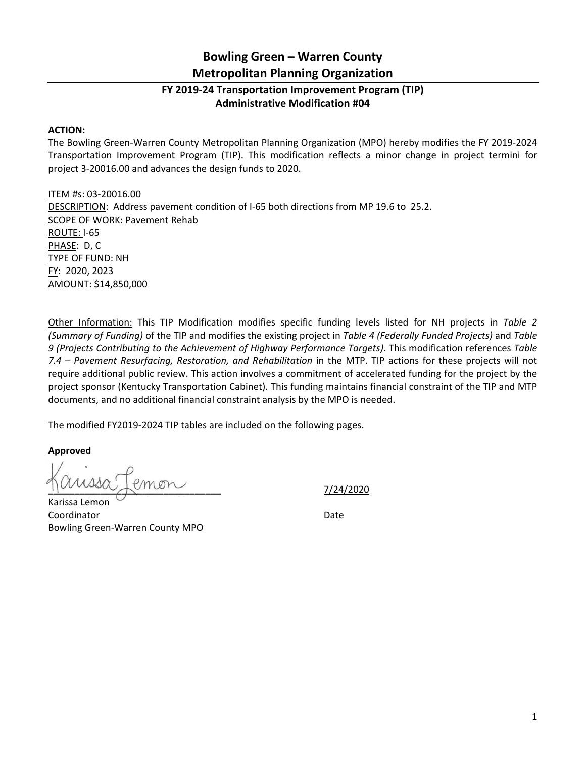## **Bowling Green – Warren County Metropolitan Planning Organization**

## **FY 2019‐24 Transportation Improvement Program (TIP) Administrative Modification #04**

## **ACTION:**

The Bowling Green‐Warren County Metropolitan Planning Organization (MPO) hereby modifies the FY 2019‐2024 Transportation Improvement Program (TIP). This modification reflects a minor change in project termini for project 3‐20016.00 and advances the design funds to 2020.

ITEM #s: 03‐20016.00 DESCRIPTION: Address pavement condition of I‐65 both directions from MP 19.6 to 25.2. SCOPE OF WORK: Pavement Rehab ROUTE: I‐65 PHASE: D, C TYPE OF FUND: NH FY: 2020, 2023 AMOUNT: \$14,850,000

Other Information: This TIP Modification modifies specific funding levels listed for NH projects in *Table 2 (Summary of Funding)* of the TIP and modifies the existing project in *Table 4 (Federally Funded Projects)* and *Table 9 (Projects Contributing to the Achievement of Highway Performance Targets)*. This modification references *Table 7.4 – Pavement Resurfacing, Restoration, and Rehabilitation* in the MTP. TIP actions for these projects will not require additional public review. This action involves a commitment of accelerated funding for the project by the project sponsor (Kentucky Transportation Cabinet). This funding maintains financial constraint of the TIP and MTP documents, and no additional financial constraint analysis by the MPO is needed.

The modified FY2019‐2024 TIP tables are included on the following pages.

**Approved** 

**\_\_\_\_\_\_\_\_\_\_\_\_\_\_\_\_\_\_\_\_\_\_\_\_\_\_\_\_\_\_\_\_\_**  7/24/2020

Karissa Lemon Coordinator **Date** Bowling Green‐Warren County MPO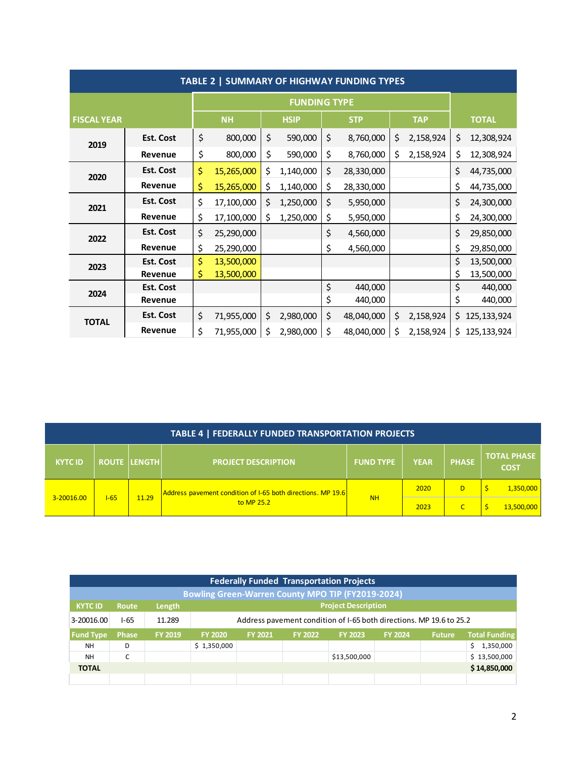| TABLE 2   SUMMARY OF HIGHWAY FUNDING TYPES |                  |           |                     |             |           |            |            |            |           |              |               |
|--------------------------------------------|------------------|-----------|---------------------|-------------|-----------|------------|------------|------------|-----------|--------------|---------------|
|                                            |                  |           | <b>FUNDING TYPE</b> |             |           |            |            |            |           |              |               |
| <b>FISCAL YEAR</b>                         |                  | <b>NH</b> |                     | <b>HSIP</b> |           | <b>STP</b> |            | <b>TAP</b> |           | <b>TOTAL</b> |               |
| 2019                                       | <b>Est. Cost</b> | \$        | 800,000             | \$          | 590,000   | \$         | 8,760,000  | \$         | 2,158,924 | \$           | 12,308,924    |
|                                            | Revenue          | \$        | 800,000             | \$          | 590,000   | \$         | 8,760,000  | \$         | 2,158,924 | \$           | 12,308,924    |
| 2020                                       | Est. Cost        | \$        | 15,265,000          | \$          | 1,140,000 | \$         | 28,330,000 |            |           | \$           | 44,735,000    |
|                                            | Revenue          | \$        | 15,265,000          | \$          | 1,140,000 | \$         | 28,330,000 |            |           | \$           | 44,735,000    |
| 2021                                       | <b>Est. Cost</b> | \$        | 17,100,000          | \$          | 1,250,000 | \$         | 5,950,000  |            |           | \$           | 24,300,000    |
|                                            | Revenue          | \$        | 17,100,000          | \$          | 1,250,000 | \$         | 5,950,000  |            |           | \$           | 24,300,000    |
| 2022                                       | <b>Est. Cost</b> | \$        | 25,290,000          |             |           | \$         | 4,560,000  |            |           | \$           | 29,850,000    |
|                                            | Revenue          | \$        | 25,290,000          |             |           | \$         | 4,560,000  |            |           | \$           | 29,850,000    |
| 2023                                       | <b>Est. Cost</b> | \$        | 13,500,000          |             |           |            |            |            |           | \$           | 13,500,000    |
|                                            | Revenue          | \$        | 13,500,000          |             |           |            |            |            |           | \$           | 13,500,000    |
| 2024                                       | <b>Est. Cost</b> |           |                     |             |           | \$         | 440,000    |            |           | \$           | 440,000       |
|                                            | Revenue          |           |                     |             |           | \$         | 440,000    |            |           | \$           | 440,000       |
| <b>TOTAL</b>                               | <b>Est. Cost</b> | \$        | 71,955,000          | \$          | 2,980,000 | \$         | 48,040,000 | \$         | 2,158,924 | \$           | 125, 133, 924 |
|                                            | Revenue          | \$        | 71,955,000          | \$          | 2,980,000 | \$         | 48,040,000 | \$         | 2,158,924 | \$           | 125, 133, 924 |

| TABLE 4   FEDERALLY FUNDED TRANSPORTATION PROJECTS |  |                     |                                                                           |                  |             |              |                                   |  |  |  |
|----------------------------------------------------|--|---------------------|---------------------------------------------------------------------------|------------------|-------------|--------------|-----------------------------------|--|--|--|
| <b>KYTC ID</b>                                     |  | <b>ROUTE LENGTH</b> | <b>PROJECT DESCRIPTION</b>                                                | <b>FUND TYPE</b> | <b>YEAR</b> | <b>PHASE</b> | <b>TOTAL PHASE</b><br><b>COST</b> |  |  |  |
| $1 - 65$<br>3-20016.00                             |  |                     | Address pavement condition of I-65 both directions. MP 19.6<br>to MP 25.2 | <b>NH</b>        | 2020        | D            | 1,350,000                         |  |  |  |
|                                                    |  | 11.29               |                                                                           |                  | 2023        |              | 13,500,000                        |  |  |  |

| <b>Federally Funded Transportation Projects</b>          |                                               |                |                                                                     |                |                |                |                |               |                      |  |
|----------------------------------------------------------|-----------------------------------------------|----------------|---------------------------------------------------------------------|----------------|----------------|----------------|----------------|---------------|----------------------|--|
| <b>Bowling Green-Warren County MPO TIP (FY2019-2024)</b> |                                               |                |                                                                     |                |                |                |                |               |                      |  |
| <b>KYTC ID</b>                                           | <b>Project Description</b><br>Length<br>Route |                |                                                                     |                |                |                |                |               |                      |  |
| 3-20016.00                                               | $1 - 65$                                      | 11.289         | Address pavement condition of I-65 both directions. MP 19.6 to 25.2 |                |                |                |                |               |                      |  |
| <b>Fund Type</b>                                         | <b>Phase</b>                                  | <b>FY 2019</b> | <b>FY 2020</b>                                                      | <b>FY 2021</b> | <b>FY 2022</b> | <b>FY 2023</b> | <b>FY 2024</b> | <b>Future</b> | <b>Total Funding</b> |  |
| <b>NH</b>                                                | D                                             |                | \$1,350,000                                                         |                |                |                |                |               | 1,350,000<br>Ś       |  |
| <b>NH</b>                                                | C                                             |                |                                                                     |                |                | \$13,500,000   |                |               | \$13,500,000         |  |
| \$14,850,000<br><b>TOTAL</b>                             |                                               |                |                                                                     |                |                |                |                |               |                      |  |
|                                                          |                                               |                |                                                                     |                |                |                |                |               |                      |  |